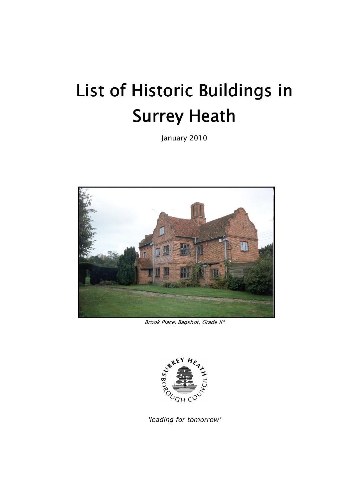# List of Historic Buildings in Surrey Heath

January 2010



Brook Place, Bagshot, Grade II\*



'leading for tomorrow'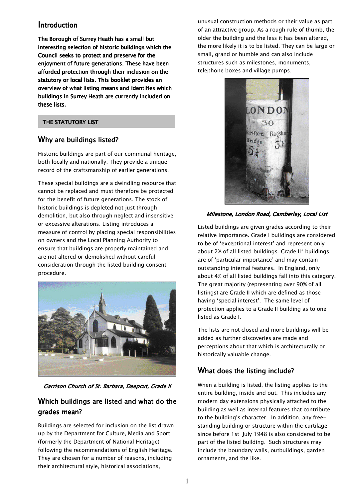### Introduction

The Borough of Surrey Heath has a small but interesting selection of historic buildings which the Council seeks to protect and preserve for the enjoyment of future generations. These have been afforded protection through their inclusion on the statutory or local lists. This booklet provides an overview of what listing means and identifies which buildings in Surrey Heath are currently included on these lists.

### THE STATUTORY LIST

## Why are buildings listed?

Historic buildings are part of our communal heritage, both locally and nationally. They provide a unique record of the craftsmanship of earlier generations.

These special buildings are a dwindling resource that cannot be replaced and must therefore be protected for the benefit of future generations. The stock of historic buildings is depleted not just through demolition, but also through neglect and insensitive or excessive alterations. Listing introduces a measure of control by placing special responsibilities on owners and the Local Planning Authority to ensure that buildings are properly maintained and are not altered or demolished without careful consideration through the listed building consent procedure.



Garrison Church of St. Barbara, Deepcut, Grade II

## Which buildings are listed and what do the grades mean?

Buildings are selected for inclusion on the list drawn up by the Department for Culture, Media and Sport (formerly the Department of National Heritage) following the recommendations of English Heritage. They are chosen for a number of reasons, including their architectural style, historical associations,

unusual construction methods or their value as part of an attractive group. As a rough rule of thumb, the older the building and the less it has been altered, the more likely it is to be listed. They can be large or small, grand or humble and can also include structures such as milestones, monuments, telephone boxes and village pumps.



### Milestone, London Road, Camberley, Local List

Listed buildings are given grades according to their relative importance. Grade I buildings are considered to be of 'exceptional interest' and represent only about 2% of all listed buildings. Grade II\* buildings are of 'particular importance' and may contain outstanding internal features. In England, only about 4% of all listed buildings fall into this category. The great majority (representing over 90% of all listings) are Grade II which are defined as those having 'special interest'. The same level of protection applies to a Grade II building as to one listed as Grade I.

The lists are not closed and more buildings will be added as further discoveries are made and perceptions about that which is architecturally or historically valuable change.

## What does the listing include?

When a building is listed, the listing applies to the entire building, inside and out. This includes any modern day extensions physically attached to the building as well as internal features that contribute to the building's character. In addition, any freestanding building or structure within the curtilage since before 1st July 1948 is also considered to be part of the listed building. Such structures may include the boundary walls, outbuildings, garden ornaments, and the like.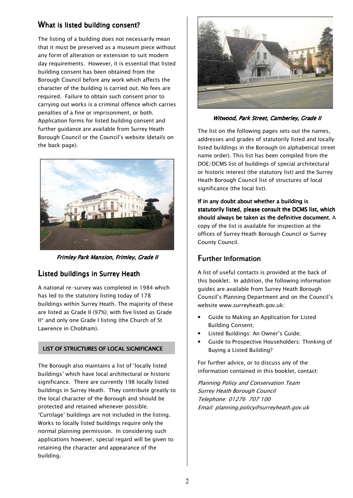## What is listed building consent?

The listing of a building does not necessarily mean that it must be preserved as a museum piece without any form of alteration or extension to suit modern day requirements. However, it is essential that listed building consent has been obtained from the Borough Council before any work which affects the character of the building is carried out. No fees are required. Failure to obtain such consent prior to carrying out works is a criminal offence which carries penalties of a fine or imprisonment, or both. Application forms for listed building consent and further guidance are available from Surrey Heath Borough Council or the Council's website (details on the back page).



Frimley Park Mansion, Frimley, Grade II

## Listed buildings in Surrey Heath

A national re-survey was completed in 1984 which has led to the statutory listing today of 178 buildings within Surrey Heath. The majority of these are listed as Grade II (97%); with five listed as Grade II\* and only one Grade I listing (the Church of St Lawrence in Chobham).

### LIST OF STRUCTURES OF LOCAL SIGNIFICANCE

The Borough also maintains a list of 'locally listed buildings' which have local architectural or historic significance. There are currently 198 locally listed buildings in Surrey Heath. They contribute greatly to the local character of the Borough and should be protected and retained whenever possible. 'Curtilage' buildings are not included in the listing. Works to locally listed buildings require only the normal planning permission. In considering such applications however, special regard will be given to retaining the character and appearance of the building.



Witwood, Park Street, Camberley, Grade II

The list on the following pages sets out the names, addresses and grades of statutorily listed and locally listed buildings in the Borough (in alphabetical street name order). This list has been compiled from the DOE/DCMS list of buildings of special architectural or historic interest (the statutory list) and the Surrey Heath Borough Council list of structures of local significance (the local list).

If in any doubt about whether a building is statutorily listed, please consult the DCMS list, which should always be taken as the definitive document. A copy of the list is available for inspection at the offices of Surrey Heath Borough Council or Surrey County Council.

## Further Information

A list of useful contacts is provided at the back of this booklet. In addition, the following information guides are available from Surrey Heath Borough Council's Planning Department and on the Council's website www.surreyheath.gov.uk:

- Guide to Making an Application for Listed Building Consent;
- Listed Buildings: An Owner's Guide;
- Guide to Prospective Householders: Thinking of Buying a Listed Building?

For further advice, or to discuss any of the information contained in this booklet, contact:

Planning Policy and Conservation Team Surrey Heath Borough Council Telephone: 01276 707 100 Email: planning.policy@surreyheath.gov.uk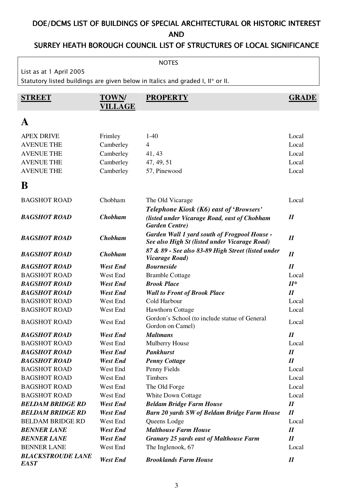# DOE/DCMS LIST OF BUILDINGS OF SPECIAL ARCHITECTURAL OR HISTORIC INTEREST AND

# SURREY HEATH BOROUGH COUNCIL LIST OF STRUCTURES OF LOCAL SIGNIFICANCE

| <b>NOTES</b>                            |                                |                                                                                                      |                            |  |  |
|-----------------------------------------|--------------------------------|------------------------------------------------------------------------------------------------------|----------------------------|--|--|
| List as at 1 April 2005                 |                                |                                                                                                      |                            |  |  |
|                                         |                                | Statutory listed buildings are given below in Italics and graded I, II* or II.                       |                            |  |  |
|                                         |                                | <b>PROPERTY</b>                                                                                      |                            |  |  |
| <b>STREET</b>                           | <b>TOWN/</b><br><b>VILLAGE</b> |                                                                                                      | <b>GRADE</b>               |  |  |
|                                         |                                |                                                                                                      |                            |  |  |
| A                                       |                                |                                                                                                      |                            |  |  |
| <b>APEX DRIVE</b>                       | Frimley                        | $1-40$                                                                                               | Local                      |  |  |
| <b>AVENUE THE</b>                       | Camberley                      | $\overline{4}$                                                                                       | Local                      |  |  |
| <b>AVENUE THE</b>                       | Camberley                      | 41, 43                                                                                               | Local                      |  |  |
| <b>AVENUE THE</b>                       | Camberley                      | 47, 49, 51                                                                                           | Local                      |  |  |
| <b>AVENUE THE</b>                       | Camberley                      | 57, Pinewood                                                                                         | Local                      |  |  |
| B                                       |                                |                                                                                                      |                            |  |  |
|                                         | Chobham                        |                                                                                                      | Local                      |  |  |
| <b>BAGSHOT ROAD</b>                     |                                | The Old Vicarage                                                                                     |                            |  |  |
| <b>BAGSHOT ROAD</b>                     | <b>Chobham</b>                 | Telephone Kiosk (K6) east of 'Browsers'                                                              | $I\!I$                     |  |  |
|                                         |                                | (listed under Vicarage Road, east of Chobham<br><b>Garden Centre</b> )                               |                            |  |  |
| <b>BAGSHOT ROAD</b>                     | <b>Chobham</b>                 | <b>Garden Wall 1 yard south of Frogpool House -</b><br>See also High St (listed under Vicarage Road) | $I\!I$                     |  |  |
| <b>BAGSHOT ROAD</b>                     | <b>Chobham</b>                 | 87 & 89 - See also 83-89 High Street (listed under<br><b>Vicarage Road</b> )                         | $I\!I$                     |  |  |
| <b>BAGSHOT ROAD</b>                     | West End                       | <b>Bourneside</b>                                                                                    | $\boldsymbol{\mathit{II}}$ |  |  |
| <b>BAGSHOT ROAD</b>                     | West End                       | <b>Bramble Cottage</b>                                                                               | Local                      |  |  |
| <b>BAGSHOT ROAD</b>                     | <b>West End</b>                | <b>Brook Place</b>                                                                                   | $II^*$                     |  |  |
| <b>BAGSHOT ROAD</b>                     | <b>West End</b>                | <b>Wall to Front of Brook Place</b>                                                                  | $I\!I$                     |  |  |
| <b>BAGSHOT ROAD</b>                     | West End                       | Cold Harbour                                                                                         | Local                      |  |  |
| <b>BAGSHOT ROAD</b>                     | West End                       | Hawthorn Cottage                                                                                     | Local                      |  |  |
| <b>BAGSHOT ROAD</b>                     | West End                       | Gordon's School (to include statue of General<br>Gordon on Camel)                                    | Local                      |  |  |
| <b>BAGSHOT ROAD</b>                     | <b>West End</b>                | <b>Maltmans</b>                                                                                      | $I\!I$                     |  |  |
| <b>BAGSHOT ROAD</b>                     | West End                       | Mulberry House                                                                                       | Local                      |  |  |
| <b>BAGSHOT ROAD</b>                     | <b>West End</b>                | <b>Pankhurst</b>                                                                                     | $I\!I$                     |  |  |
| <b>BAGSHOT ROAD</b>                     | <b>West End</b>                | <b>Penny Cottage</b>                                                                                 | I                          |  |  |
| <b>BAGSHOT ROAD</b>                     | West End                       | Penny Fields                                                                                         | Local                      |  |  |
| <b>BAGSHOT ROAD</b>                     | West End                       | <b>Timbers</b>                                                                                       | Local                      |  |  |
| <b>BAGSHOT ROAD</b>                     | West End                       | The Old Forge                                                                                        | Local                      |  |  |
| <b>BAGSHOT ROAD</b>                     | West End                       | White Down Cottage                                                                                   | Local                      |  |  |
| <b>BELDAM BRIDGE RD</b>                 | <b>West End</b>                | <b>Beldam Bridge Farm House</b>                                                                      | $I\!I$                     |  |  |
| <b>BELDAM BRIDGE RD</b>                 | <b>West End</b>                | <b>Barn 20 yards SW of Beldam Bridge Farm House</b>                                                  | $I\!I$                     |  |  |
| <b>BELDAM BRIDGE RD</b>                 | West End                       | Queens Lodge                                                                                         | Local                      |  |  |
| <b>BENNER LANE</b>                      | <b>West End</b>                | <b>Malthouse Farm House</b>                                                                          | I                          |  |  |
| <b>BENNER LANE</b>                      | <b>West End</b>                | <b>Granary 25 yards east of Malthouse Farm</b>                                                       | I                          |  |  |
| <b>BENNER LANE</b>                      | West End                       | The Inglenook, 67                                                                                    | Local                      |  |  |
| <b>BLACKSTROUDE LANE</b><br><b>EAST</b> | <b>West End</b>                | <b>Brooklands Farm House</b>                                                                         | $I\!I$                     |  |  |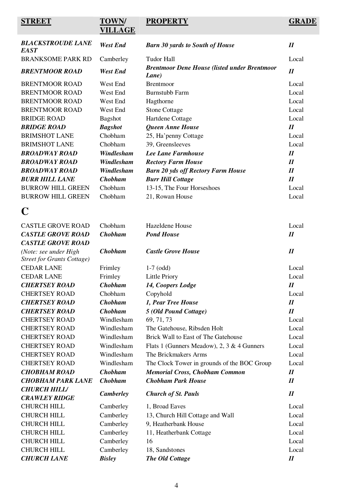# **STREET TOWN/**

# **VILLAGE**

**PROPERTY GRADE**

| <b>BLACKSTROUDE LANE</b><br><b>EAST</b> | <b>West End</b>  | <b>Barn 30 yards to South of House</b>                       | $\boldsymbol{\mathit{II}}$ |
|-----------------------------------------|------------------|--------------------------------------------------------------|----------------------------|
| <b>BRANKSOME PARK RD</b>                | Camberley        | <b>Tudor Hall</b>                                            | Local                      |
| <b>BRENTMOOR ROAD</b>                   | <b>West End</b>  | <b>Brentmoor Dene House (listed under Brentmoor</b><br>Lane) | $I\!I$                     |
| <b>BRENTMOOR ROAD</b>                   | West End         | <b>Brentmoor</b>                                             | Local                      |
| <b>BRENTMOOR ROAD</b>                   | West End         | <b>Burnstubb Farm</b>                                        | Local                      |
| <b>BRENTMOOR ROAD</b>                   | West End         | Hagthorne                                                    | Local                      |
| <b>BRENTMOOR ROAD</b>                   | West End         | <b>Stone Cottage</b>                                         | Local                      |
| <b>BRIDGE ROAD</b>                      | <b>Bagshot</b>   | Hartdene Cottage                                             | Local                      |
| <b>BRIDGE ROAD</b>                      | <b>Bagshot</b>   | <b>Queen Anne House</b>                                      | $\boldsymbol{\mathit{II}}$ |
| <b>BRIMSHOT LANE</b>                    | Chobham          | 25, Ha'penny Cottage                                         | Local                      |
| <b>BRIMSHOT LANE</b>                    | Chobham          | 39, Greensleeves                                             | Local                      |
| <b>BROADWAY ROAD</b>                    | Windlesham       | Lee Lane Farmhouse                                           | $I\!I$                     |
| <b>BROADWAY ROAD</b>                    | Windlesham       | <b>Rectory Farm House</b>                                    | $\boldsymbol{\mathit{II}}$ |
| <b>BROADWAY ROAD</b>                    | Windlesham       | <b>Barn 20 yds off Rectory Farm House</b>                    | $\boldsymbol{\mathit{II}}$ |
| <b>BURR HILL LANE</b>                   | <b>Chobham</b>   | <b>Burr Hill Cottage</b>                                     | $I\!I$                     |
| <b>BURROW HILL GREEN</b>                | Chobham          | 13-15, The Four Horseshoes                                   | Local                      |
| <b>BURROW HILL GREEN</b>                | Chobham          | 21, Rowan House                                              | Local                      |
| C                                       |                  |                                                              |                            |
| <b>CASTLE GROVE ROAD</b>                | Chobham          | Hazeldene House                                              | Local                      |
| <b>CASTLE GROVE ROAD</b>                | <b>Chobham</b>   | <b>Pond House</b>                                            | $I\!I$                     |
| <b>CASTLE GROVE ROAD</b>                |                  |                                                              |                            |
| (Note: see under High                   | <b>Chobham</b>   | <b>Castle Grove House</b>                                    | $I\!I$                     |
| <b>Street for Grants Cottage)</b>       |                  |                                                              |                            |
| <b>CEDAR LANE</b>                       | Frimley          | $1-7$ (odd)                                                  | Local                      |
| <b>CEDAR LANE</b>                       | Frimley          | <b>Little Priory</b>                                         | Local                      |
| <b>CHERTSEY ROAD</b>                    | <b>Chobham</b>   | 14, Coopers Lodge                                            | I                          |
| <b>CHERTSEY ROAD</b>                    | Chobham          | Copyhold                                                     | Local                      |
| <b>CHERTSEY ROAD</b>                    | <b>Chobham</b>   | 1, Pear Tree House                                           | $\boldsymbol{H}$           |
| <b>CHERTSEY ROAD</b>                    | <b>Chobham</b>   | 5 (Old Pound Cottage)                                        | $\boldsymbol{\mathit{II}}$ |
| <b>CHERTSEY ROAD</b>                    | Windlesham       | 69, 71, 73                                                   | Local                      |
| <b>CHERTSEY ROAD</b>                    | Windlesham       | The Gatehouse, Ribsden Holt                                  | Local                      |
| <b>CHERTSEY ROAD</b>                    | Windlesham       | Brick Wall to East of The Gatehouse                          | Local                      |
| <b>CHERTSEY ROAD</b>                    | Windlesham       | Flats 1 (Gunners Meadow), 2, 3 & 4 Gunners                   | Local                      |
| <b>CHERTSEY ROAD</b>                    | Windlesham       | The Brickmakers Arms                                         | Local                      |
| <b>CHERTSEY ROAD</b>                    | Windlesham       | The Clock Tower in grounds of the BOC Group                  | Local                      |
| <b>CHOBHAM ROAD</b>                     | <b>Chobham</b>   | <b>Memorial Cross, Chobham Common</b>                        | $\boldsymbol{\mathit{II}}$ |
| <b>CHOBHAM PARK LANE</b>                | <b>Chobham</b>   | <b>Chobham Park House</b>                                    | $\boldsymbol{\mathit{II}}$ |
| <b>CHURCH HILL/</b>                     |                  |                                                              |                            |
| <b>CRAWLEY RIDGE</b>                    | <b>Camberley</b> | <b>Church of St. Pauls</b>                                   | $I\!I$                     |
| <b>CHURCH HILL</b>                      | Camberley        | 1, Broad Eaves                                               | Local                      |
| <b>CHURCH HILL</b>                      | Camberley        | 13, Church Hill Cottage and Wall                             | Local                      |
| <b>CHURCH HILL</b>                      | Camberley        | 9, Heatherbank House                                         | Local                      |
| <b>CHURCH HILL</b>                      | Camberley        | 11, Heatherbank Cottage                                      | Local                      |
| <b>CHURCH HILL</b>                      | Camberley        | 16                                                           | Local                      |
| <b>CHURCH HILL</b>                      | Camberley        | 18, Sandstones                                               | Local                      |
| <b>CHURCH LANE</b>                      | <b>Bisley</b>    | The Old Cottage                                              | $I\!I$                     |
|                                         |                  |                                                              |                            |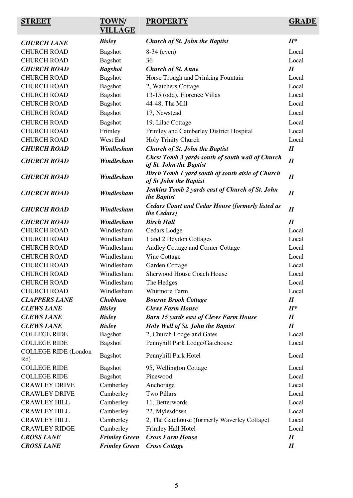| <b>STREET</b>                      | <b>TOWN/</b><br><b>VILLAGE</b> | <b>PROPERTY</b>                                                             | <b>GRADE</b>               |
|------------------------------------|--------------------------------|-----------------------------------------------------------------------------|----------------------------|
| <b>CHURCH LANE</b>                 | <b>Bisley</b>                  | <b>Church of St. John the Baptist</b>                                       | $II^*$                     |
| <b>CHURCH ROAD</b>                 | <b>Bagshot</b>                 | 8-34 (even)                                                                 | Local                      |
| <b>CHURCH ROAD</b>                 | <b>Bagshot</b>                 | 36                                                                          | Local                      |
| <b>CHURCH ROAD</b>                 | <b>Bagshot</b>                 | <b>Church of St. Anne</b>                                                   | $\boldsymbol{\mathit{II}}$ |
| <b>CHURCH ROAD</b>                 | <b>Bagshot</b>                 | Horse Trough and Drinking Fountain                                          | Local                      |
| <b>CHURCH ROAD</b>                 | <b>Bagshot</b>                 | 2, Watchers Cottage                                                         | Local                      |
| <b>CHURCH ROAD</b>                 | <b>Bagshot</b>                 | 13-15 (odd), Florence Villas                                                | Local                      |
| <b>CHURCH ROAD</b>                 | <b>Bagshot</b>                 | 44-48, The Mill                                                             | Local                      |
| <b>CHURCH ROAD</b>                 | <b>Bagshot</b>                 | 17, Newstead                                                                | Local                      |
| <b>CHURCH ROAD</b>                 | <b>Bagshot</b>                 | 19, Lilac Cottage                                                           | Local                      |
| <b>CHURCH ROAD</b>                 | Frimley                        | Frimley and Camberley District Hospital                                     | Local                      |
| <b>CHURCH ROAD</b>                 | West End                       | Holy Trinity Church                                                         | Local                      |
| <b>CHURCH ROAD</b>                 | Windlesham                     | <b>Church of St. John the Baptist</b>                                       | $I\!I$                     |
| <b>CHURCH ROAD</b>                 | Windlesham                     | Chest Tomb 3 yards south of south wall of Church<br>of St. John the Baptist | $I\!I$                     |
| <b>CHURCH ROAD</b>                 | <b>Windlesham</b>              | Birch Tomb 1 yard south of south aisle of Church<br>of St John the Baptist  | $\boldsymbol{\mathit{II}}$ |
| <b>CHURCH ROAD</b>                 | Windlesham                     | Jenkins Tomb 2 yards east of Church of St. John<br>the Baptist              | $I\!I$                     |
| <b>CHURCH ROAD</b>                 | Windlesham                     | <b>Cedars Court and Cedar House (formerly listed as</b><br>the Cedars)      | $I\!I$                     |
| <b>CHURCH ROAD</b>                 | Windlesham                     | <b>Birch Hall</b>                                                           | $I\!I$                     |
| <b>CHURCH ROAD</b>                 | Windlesham                     | Cedars Lodge                                                                | Local                      |
| <b>CHURCH ROAD</b>                 | Windlesham                     | 1 and 2 Heydon Cottages                                                     | Local                      |
| <b>CHURCH ROAD</b>                 | Windlesham                     | Audley Cottage and Corner Cottage                                           | Local                      |
| <b>CHURCH ROAD</b>                 | Windlesham                     | Vine Cottage                                                                | Local                      |
| <b>CHURCH ROAD</b>                 | Windlesham                     | Garden Cottage                                                              | Local                      |
| <b>CHURCH ROAD</b>                 | Windlesham                     | <b>Sherwood House Coach House</b>                                           | Local                      |
| <b>CHURCH ROAD</b>                 | Windlesham                     | The Hedges                                                                  | Local                      |
| <b>CHURCH ROAD</b>                 | Windlesham                     | <b>Whitmore Farm</b>                                                        | Local                      |
| <b>CLAPPERS LANE</b>               | <b>Chobham</b>                 | <b>Bourne Brook Cottage</b>                                                 | $\boldsymbol{\mathit{II}}$ |
| <b>CLEWS LANE</b>                  | <b>Bisley</b>                  | <b>Clews Farm House</b>                                                     | $II^*$                     |
| <b>CLEWS LANE</b>                  | <b>Bisley</b>                  | <b>Barn 15 yards east of Clews Farm House</b>                               | $I\!I$                     |
| <b>CLEWS LANE</b>                  | <b>Bisley</b>                  | Holy Well of St. John the Baptist                                           | $I\!I$                     |
| <b>COLLEGE RIDE</b>                | <b>Bagshot</b>                 | 2, Church Lodge and Gates                                                   | Local                      |
| <b>COLLEGE RIDE</b>                | <b>Bagshot</b>                 | Pennyhill Park Lodge/Gatehouse                                              | Local                      |
| <b>COLLEGE RIDE (London</b><br>Rd) | <b>Bagshot</b>                 | Pennyhill Park Hotel                                                        | Local                      |
| <b>COLLEGE RIDE</b>                | <b>Bagshot</b>                 | 95, Wellington Cottage                                                      | Local                      |
| <b>COLLEGE RIDE</b>                | <b>Bagshot</b>                 | Pinewood                                                                    | Local                      |
| <b>CRAWLEY DRIVE</b>               | Camberley                      | Anchorage                                                                   | Local                      |
| <b>CRAWLEY DRIVE</b>               | Camberley                      | <b>Two Pillars</b>                                                          | Local                      |
| <b>CRAWLEY HILL</b>                | Camberley                      | 11, Betterwords                                                             | Local                      |
| <b>CRAWLEY HILL</b>                | Camberley                      | 22, Mylesdown                                                               | Local                      |
| <b>CRAWLEY HILL</b>                | Camberley                      | 2, The Gatehouse (formerly Waverley Cottage)                                | Local                      |
| <b>CRAWLEY RIDGE</b>               | Camberley                      | Frimley Hall Hotel                                                          | Local                      |
| <b>CROSS LANE</b>                  | <b>Frimley Green</b>           | <b>Cross Farm House</b>                                                     | $I\!I$                     |
| <b>CROSS LANE</b>                  | <b>Frimley Green</b>           | <b>Cross Cottage</b>                                                        | $I\!I$                     |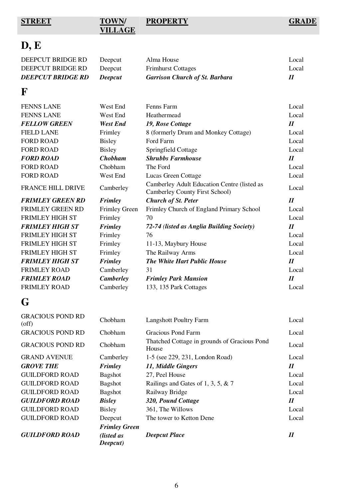**STREET** 

# **VILLAGE**

**PROPERTY GRADE**

# **D, E**

| <b>DEEPCUT BRIDGE RD</b> | <b>Deepcut</b> | <b>Garrison Church of St. Barbara</b> | $\boldsymbol{\mathit{II}}$ |
|--------------------------|----------------|---------------------------------------|----------------------------|
| DEEPCUT BRIDGE RD        | Deepcut        | <b>Frimhurst Cottages</b>             | Local                      |
| DEEPCUT BRIDGE RD        | Deepcut        | Alma House                            | Local                      |

# **F**

| <b>FENNS LANE</b>        | West End             | Fenns Farm                                                                    | Local                      |
|--------------------------|----------------------|-------------------------------------------------------------------------------|----------------------------|
| <b>FENNS LANE</b>        | West End             | Heathermead                                                                   | Local                      |
| <b>FELLOW GREEN</b>      | <b>West End</b>      | 19, Rose Cottage                                                              | $\boldsymbol{\mathit{II}}$ |
| <b>FIELD LANE</b>        | Frimley              | 8 (formerly Drum and Monkey Cottage)                                          | Local                      |
| <b>FORD ROAD</b>         | <b>Bisley</b>        | Ford Farm                                                                     | Local                      |
| <b>FORD ROAD</b>         | <b>Bisley</b>        | Springfield Cottage                                                           | Local                      |
| <b>FORD ROAD</b>         | <b>Chobham</b>       | <b>Shrubbs Farmhouse</b>                                                      | $\boldsymbol{\mathit{II}}$ |
| <b>FORD ROAD</b>         | Chobham              | The Ford                                                                      | Local                      |
| <b>FORD ROAD</b>         | West End             | Lucas Green Cottage                                                           | Local                      |
| <b>FRANCE HILL DRIVE</b> | Camberley            | Camberley Adult Education Centre (listed as<br>Camberley County First School) | Local                      |
| <b>FRIMLEY GREEN RD</b>  | <b>Frimley</b>       | <b>Church of St. Peter</b>                                                    | $\boldsymbol{\mathit{II}}$ |
| <b>FRIMLEY GREEN RD</b>  | <b>Frimley Green</b> | Frimley Church of England Primary School                                      | Local                      |
| FRIMLEY HIGH ST          | Frimley              | 70                                                                            | Local                      |
| <b>FRIMLEY HIGH ST</b>   | <b>Frimley</b>       | 72-74 (listed as Anglia Building Society)                                     | $\boldsymbol{\mathit{II}}$ |
| <b>FRIMLEY HIGH ST</b>   | Frimley              | 76                                                                            | Local                      |
| <b>FRIMLEY HIGH ST</b>   | Frimley              | 11-13, Maybury House                                                          | Local                      |
|                          |                      |                                                                               |                            |
| <b>FRIMLEY HIGH ST</b>   | Frimley              | The Railway Arms                                                              | Local                      |
| <b>FRIMLEY HIGH ST</b>   | <b>Frimley</b>       | <b>The White Hart Public House</b>                                            | $I\!I$                     |
| <b>FRIMLEY ROAD</b>      | Camberley            | 31                                                                            | Local                      |
| <b>FRIMLEY ROAD</b>      | <b>Camberley</b>     | <b>Frimley Park Mansion</b>                                                   | $\boldsymbol{H}$           |
| <b>FRIMLEY ROAD</b>      | Camberley            | 133, 135 Park Cottages                                                        | Local                      |

# **G**

| <b>GUILDFORD ROAD</b>                  | (listed as<br>Deepcut) | <b>Deepcut Place</b>                                  | $\boldsymbol{\mathit{II}}$ |
|----------------------------------------|------------------------|-------------------------------------------------------|----------------------------|
|                                        | <b>Frimley Green</b>   |                                                       |                            |
| <b>GUILDFORD ROAD</b>                  | Deepcut                | The tower to Ketton Dene                              | Local                      |
| <b>GUILDFORD ROAD</b>                  | <b>Bisley</b>          | 361, The Willows                                      | Local                      |
| <b>GUILDFORD ROAD</b>                  | <b>Bisley</b>          | 320, Pound Cottage                                    | $\boldsymbol{\mathit{II}}$ |
| <b>GUILDFORD ROAD</b>                  | <b>Bagshot</b>         | Railway Bridge                                        | Local                      |
| <b>GUILDFORD ROAD</b>                  | <b>Bagshot</b>         | Railings and Gates of 1, 3, 5, $& 7$                  | Local                      |
| <b>GUILDFORD ROAD</b>                  | <b>Bagshot</b>         | 27, Peel House                                        | Local                      |
| <b>GROVE THE</b>                       | Frimley                | 11, Middle Gingers                                    | $\boldsymbol{\mathit{II}}$ |
| <b>GRAND AVENUE</b>                    | Camberley              | 1-5 (see 229, 231, London Road)                       | Local                      |
| <b>GRACIOUS POND RD</b>                | Chobham                | Thatched Cottage in grounds of Gracious Pond<br>House | Local                      |
| <b>GRACIOUS POND RD</b>                | Chobham                | Gracious Pond Farm                                    | Local                      |
| <b>GRACIOUS POND RD</b><br>$($ off $)$ | Chobham                | <b>Langshott Poultry Farm</b>                         | Local                      |
|                                        |                        |                                                       |                            |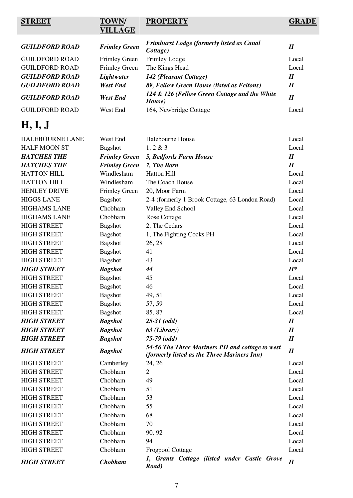# **STREET TOWN/**

# **VILLAGE**

# **PROPERTY GRADE**

| <b>GUILDFORD ROAD</b> | <b>Frimley Green</b> | <b>Frimhurst Lodge (formerly listed as Canal</b><br>Cottage) | 11                         |
|-----------------------|----------------------|--------------------------------------------------------------|----------------------------|
| <b>GUILDFORD ROAD</b> | <b>Frimley Green</b> | Frimley Lodge                                                | Local                      |
| <b>GUILDFORD ROAD</b> | <b>Frimley Green</b> | The Kings Head                                               | Local                      |
| <b>GUILDFORD ROAD</b> | Lightwater           | 142 (Pleasant Cottage)                                       | $\boldsymbol{\mathit{II}}$ |
| <b>GUILDFORD ROAD</b> | <b>West End</b>      | 89, Fellow Green House (listed as Feltons)                   | $\boldsymbol{H}$           |
| <b>GUILDFORD ROAD</b> | West End             | 124 & 126 (Fellow Green Cottage and the White<br>House)      | $I\!I$                     |
| <b>GUILDFORD ROAD</b> | West End             | 164, Newbridge Cottage                                       | Local                      |

# **H, I, J**

| <b>HALEBOURNE LANE</b> | West End             | Halebourne House                                                                               | Local  |
|------------------------|----------------------|------------------------------------------------------------------------------------------------|--------|
| <b>HALF MOON ST</b>    | Bagshot              | 1, 2 & 3                                                                                       | Local  |
| <b>HATCHES THE</b>     | <b>Frimley Green</b> | 5, Bedfords Farm House                                                                         | $I\!I$ |
| <b>HATCHES THE</b>     | <b>Frimley Green</b> | 7, The Barn                                                                                    | $I\!I$ |
| <b>HATTON HILL</b>     | Windlesham           | <b>Hatton Hill</b>                                                                             | Local  |
| <b>HATTON HILL</b>     | Windlesham           | The Coach House                                                                                | Local  |
| <b>HENLEY DRIVE</b>    | <b>Frimley Green</b> | 20, Moor Farm                                                                                  | Local  |
| <b>HIGGS LANE</b>      | <b>Bagshot</b>       | 2-4 (formerly 1 Brook Cottage, 63 London Road)                                                 | Local  |
| <b>HIGHAMS LANE</b>    | Chobham              | Valley End School                                                                              | Local  |
| <b>HIGHAMS LANE</b>    | Chobham              | <b>Rose Cottage</b>                                                                            | Local  |
| <b>HIGH STREET</b>     | Bagshot              | 2, The Cedars                                                                                  | Local  |
| <b>HIGH STREET</b>     | <b>Bagshot</b>       | 1, The Fighting Cocks PH                                                                       | Local  |
| <b>HIGH STREET</b>     | <b>Bagshot</b>       | 26, 28                                                                                         | Local  |
| <b>HIGH STREET</b>     | <b>Bagshot</b>       | 41                                                                                             | Local  |
| <b>HIGH STREET</b>     | <b>Bagshot</b>       | 43                                                                                             | Local  |
| <b>HIGH STREET</b>     | <b>Bagshot</b>       | 44                                                                                             | $II^*$ |
| <b>HIGH STREET</b>     | <b>Bagshot</b>       | 45                                                                                             | Local  |
| <b>HIGH STREET</b>     | Bagshot              | 46                                                                                             | Local  |
| <b>HIGH STREET</b>     | Bagshot              | 49, 51                                                                                         | Local  |
| <b>HIGH STREET</b>     | Bagshot              | 57, 59                                                                                         | Local  |
| <b>HIGH STREET</b>     | <b>Bagshot</b>       | 85, 87                                                                                         | Local  |
| <b>HIGH STREET</b>     | <b>Bagshot</b>       | $25-31$ (odd)                                                                                  | $I\!I$ |
| <b>HIGH STREET</b>     | <b>Bagshot</b>       | 63 (Library)                                                                                   | $I\!I$ |
| <b>HIGH STREET</b>     | <b>Bagshot</b>       | $75-79$ (odd)                                                                                  | $I\!I$ |
| <b>HIGH STREET</b>     | <b>Bagshot</b>       | 54-56 The Three Mariners PH and cottage to west<br>(formerly listed as the Three Mariners Inn) | $I\!I$ |
| <b>HIGH STREET</b>     | Camberley            | 24, 26                                                                                         | Local  |
| <b>HIGH STREET</b>     | Chobham              | $\overline{2}$                                                                                 | Local  |
| <b>HIGH STREET</b>     | Chobham              | 49                                                                                             | Local  |
| <b>HIGH STREET</b>     | Chobham              | 51                                                                                             | Local  |
| <b>HIGH STREET</b>     | Chobham              | 53                                                                                             | Local  |
| <b>HIGH STREET</b>     | Chobham              | 55                                                                                             | Local  |
| <b>HIGH STREET</b>     | Chobham              | 68                                                                                             | Local  |
| <b>HIGH STREET</b>     | Chobham              | 70                                                                                             | Local  |
| <b>HIGH STREET</b>     | Chobham              | 90, 92                                                                                         | Local  |
| <b>HIGH STREET</b>     | Chobham              | 94                                                                                             | Local  |
| <b>HIGH STREET</b>     | Chobham              | <b>Frogpool Cottage</b>                                                                        | Local  |
| <b>HIGH STREET</b>     | <b>Chobham</b>       | 1, Grants Cottage (listed under Castle Grove<br>Road)                                          | $I\!I$ |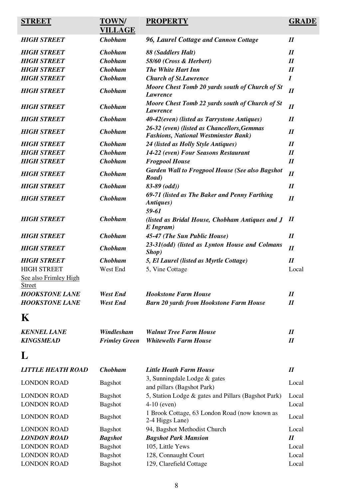| <b>STREET</b>                          | <b>TOWN/</b><br><b>VILLAGE</b> | <b>PROPERTY</b>                                                                            | <b>GRADE</b>               |
|----------------------------------------|--------------------------------|--------------------------------------------------------------------------------------------|----------------------------|
| <b>HIGH STREET</b>                     | <b>Chobham</b>                 | 96, Laurel Cottage and Cannon Cottage                                                      | $I\!I$                     |
| <b>HIGH STREET</b>                     | <b>Chobham</b>                 | 88 (Saddlers Halt)                                                                         | $I\!I$                     |
| <b>HIGH STREET</b>                     | <b>Chobham</b>                 | 58/60 (Cross & Herbert)                                                                    | $\boldsymbol{\mathit{II}}$ |
| <b>HIGH STREET</b>                     | <b>Chobham</b>                 | <b>The White Hart Inn</b>                                                                  | $I\!I$                     |
| <b>HIGH STREET</b>                     | <b>Chobham</b>                 | <b>Church of St. Lawrence</b>                                                              | $\boldsymbol{I}$           |
| <b>HIGH STREET</b>                     | <b>Chobham</b>                 | Moore Chest Tomb 20 yards south of Church of St<br><b>Lawrence</b>                         | $\boldsymbol{\mathit{II}}$ |
| <b>HIGH STREET</b>                     | <b>Chobham</b>                 | Moore Chest Tomb 22 yards south of Church of St<br>Lawrence                                | $\boldsymbol{\mathit{II}}$ |
| <b>HIGH STREET</b>                     | <b>Chobham</b>                 | 40-42(even) (listed as Tarrystone Antiques)                                                | I                          |
| <b>HIGH STREET</b>                     | <b>Chobham</b>                 | 26-32 (even) (listed as Chancellors, Gemmas<br><b>Fashions, National Westminster Bank)</b> | $I\!I$                     |
| <b>HIGH STREET</b>                     | <b>Chobham</b>                 | 24 (listed as Holly Style Antiques)                                                        | $I\!I$                     |
| <b>HIGH STREET</b>                     | <b>Chobham</b>                 | 14-22 (even) Four Seasons Restaurant                                                       | $I\!I$                     |
| <b>HIGH STREET</b>                     | <b>Chobham</b>                 | <b>Frogpool House</b>                                                                      | $I\!I$                     |
| <b>HIGH STREET</b>                     | <b>Chobham</b>                 | <b>Garden Wall to Frogpool House (See also Bagshot</b><br>Road)                            | I                          |
| <b>HIGH STREET</b>                     | <b>Chobham</b>                 | $83-89$ (odd))                                                                             | $I\!I$                     |
| <b>HIGH STREET</b>                     | <b>Chobham</b>                 | 69-71 (listed as The Baker and Penny Farthing<br>Antiques)<br>59-61                        | $I\!I$                     |
| <b>HIGH STREET</b>                     | <b>Chobham</b>                 | (listed as Bridal House, Chobham Antiques and J<br>E Ingram)                               | $\boldsymbol{\mathit{II}}$ |
| <b>HIGH STREET</b>                     | <b>Chobham</b>                 | 45-47 (The Sun Public House)                                                               | $I\!I$                     |
| <b>HIGH STREET</b>                     | <b>Chobham</b>                 | 23-31(odd) (listed as Lynton House and Colmans<br>Shop)                                    | $I\!I$                     |
| <b>HIGH STREET</b>                     | <b>Chobham</b>                 | 5, El Laurel (listed as Myrtle Cottage)                                                    | $I\!I$                     |
| <b>HIGH STREET</b>                     | West End                       | 5, Vine Cottage                                                                            | Local                      |
| See also Frimley High<br><b>Street</b> |                                |                                                                                            |                            |
| <b>HOOKSTONE LANE</b>                  | <b>West End</b>                | <b>Hookstone Farm House</b>                                                                | $\boldsymbol{\mathit{II}}$ |
| <b>HOOKSTONE LANE</b>                  | <b>West End</b>                | <b>Barn 20 yards from Hookstone Farm House</b>                                             | $I\!I$                     |
| $\bf K$                                |                                |                                                                                            |                            |
| <b>KENNEL LANE</b>                     | Windlesham                     | <b>Walnut Tree Farm House</b>                                                              | $\boldsymbol{\mathit{II}}$ |
| <b>KINGSMEAD</b>                       | <b>Frimley Green</b>           | <b>Whitewells Farm House</b>                                                               | $I\!I$                     |
| L                                      |                                |                                                                                            |                            |
| LITTLE HEATH ROAD                      | <b>Chobham</b>                 | <b>Little Heath Farm House</b>                                                             | $I\!I$                     |
| <b>LONDON ROAD</b>                     | <b>Bagshot</b>                 | 3, Sunningdale Lodge & gates<br>and pillars (Bagshot Park)                                 | Local                      |
| <b>LONDON ROAD</b>                     | <b>Bagshot</b>                 | 5, Station Lodge & gates and Pillars (Bagshot Park)                                        | Local                      |
| <b>LONDON ROAD</b>                     | <b>Bagshot</b>                 | $4-10$ (even)                                                                              | Local                      |
| <b>LONDON ROAD</b>                     | <b>Bagshot</b>                 | 1 Brook Cottage, 63 London Road (now known as<br>2-4 Higgs Lane)                           | Local                      |
| <b>LONDON ROAD</b>                     | <b>Bagshot</b>                 | 94, Bagshot Methodist Church                                                               | Local                      |
| <b>LONDON ROAD</b>                     | <b>Bagshot</b>                 | <b>Bagshot Park Mansion</b>                                                                | $I\!I$                     |
| <b>LONDON ROAD</b>                     | <b>Bagshot</b>                 | 105, Little Yews                                                                           | Local                      |
| <b>LONDON ROAD</b>                     | <b>Bagshot</b>                 | 128, Connaught Court                                                                       | Local                      |
| <b>LONDON ROAD</b>                     | <b>Bagshot</b>                 | 129, Clarefield Cottage                                                                    | Local                      |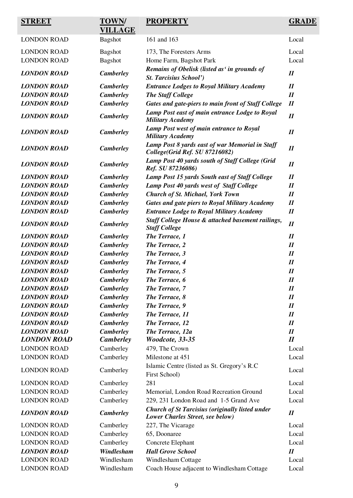| <b>STREET</b>      | <b>TOWN/</b><br><b>VILLAGE</b> | <b>PROPERTY</b>                                                                            | <b>GRADE</b>               |
|--------------------|--------------------------------|--------------------------------------------------------------------------------------------|----------------------------|
| <b>LONDON ROAD</b> | <b>Bagshot</b>                 | 161 and 163                                                                                | Local                      |
| <b>LONDON ROAD</b> | <b>Bagshot</b>                 | 173, The Foresters Arms                                                                    | Local                      |
| <b>LONDON ROAD</b> | <b>Bagshot</b>                 | Home Farm, Bagshot Park                                                                    | Local                      |
| <b>LONDON ROAD</b> | <b>Camberley</b>               | Remains of Obelisk (listed as' in grounds of<br><b>St. Tarcisius School')</b>              | $I\!I$                     |
| <b>LONDON ROAD</b> | <b>Camberley</b>               | <b>Entrance Lodges to Royal Military Academy</b>                                           | $I\!I$                     |
| <b>LONDON ROAD</b> | <b>Camberley</b>               | <b>The Staff College</b>                                                                   | $I\!I$                     |
| <b>LONDON ROAD</b> | <b>Camberley</b>               | Gates and gate-piers to main front of Staff College                                        | $I\!I$                     |
| <b>LONDON ROAD</b> | <b>Camberley</b>               | Lamp Post east of main entrance Lodge to Royal<br><b>Military Academy</b>                  | I                          |
| <b>LONDON ROAD</b> | <b>Camberley</b>               | Lamp Post west of main entrance to Royal<br><b>Military Academy</b>                        | $I\!I$                     |
| <b>LONDON ROAD</b> | <b>Camberley</b>               | Lamp Post 8 yards east of war Memorial in Staff<br>College(Grid Ref. SU 87216082)          | $I\!I$                     |
| <b>LONDON ROAD</b> | <b>Camberley</b>               | Lamp Post 40 yards south of Staff College (Grid<br>Ref. SU 87236086)                       | $I\!I$                     |
| <b>LONDON ROAD</b> | <b>Camberley</b>               | Lamp Post 15 yards South east of Staff College                                             | $I\!I$                     |
| <b>LONDON ROAD</b> | <b>Camberley</b>               | Lamp Post 40 yards west of Staff College                                                   | $I\!I$                     |
| <b>LONDON ROAD</b> | <b>Camberley</b>               | <b>Church of St. Michael, York Town</b>                                                    | $I\!I$                     |
| <b>LONDON ROAD</b> | <b>Camberley</b>               | <b>Gates and gate piers to Royal Military Academy</b>                                      | $I\!I$                     |
| <b>LONDON ROAD</b> | <b>Camberley</b>               | <b>Entrance Lodge to Royal Military Academy</b>                                            | $I\!I$                     |
| <b>LONDON ROAD</b> | <b>Camberley</b>               | <b>Staff College House &amp; attached basement railings,</b><br><b>Staff College</b>       | $I\!I$                     |
| <b>LONDON ROAD</b> | <b>Camberley</b>               | The Terrace, 1                                                                             | $I\!I$                     |
| <b>LONDON ROAD</b> | <b>Camberley</b>               | The Terrace, 2                                                                             | $I\!I$                     |
| <b>LONDON ROAD</b> | <b>Camberley</b>               | The Terrace, 3                                                                             | $I\!I$                     |
| <b>LONDON ROAD</b> | <b>Camberley</b>               | The Terrace, 4                                                                             | $I\!I$                     |
| <b>LONDON ROAD</b> | <b>Camberley</b>               | The Terrace, 5                                                                             | I                          |
| <b>LONDON ROAD</b> | <b>Camberley</b>               | The Terrace, 6                                                                             | $\boldsymbol{\mathit{II}}$ |
| <b>LONDON ROAD</b> | <b>Camberley</b>               | The Terrace, 7                                                                             | $\boldsymbol{\mathit{II}}$ |
| <b>LONDON ROAD</b> | <b>Camberley</b>               | The Terrace, 8                                                                             | $I\!I$                     |
| <b>LONDON ROAD</b> | <b>Camberley</b>               | The Terrace, 9                                                                             | $I\!I$                     |
| <b>LONDON ROAD</b> | <b>Camberley</b>               | The Terrace, 11                                                                            | $I\!I$                     |
| <b>LONDON ROAD</b> | <b>Camberley</b>               | The Terrace, 12                                                                            | $I\!I$                     |
| <b>LONDON ROAD</b> | <b>Camberley</b>               | The Terrace, 12a                                                                           | $\boldsymbol{\mathit{II}}$ |
| <b>LONDON ROAD</b> | <b>Camberley</b>               | Woodcote, 33-35                                                                            | $I\!I$                     |
| <b>LONDON ROAD</b> | Camberley                      | 479, The Crown                                                                             | Local                      |
| <b>LONDON ROAD</b> | Camberley                      | Milestone at 451                                                                           | Local                      |
| <b>LONDON ROAD</b> | Camberley                      | Islamic Centre (listed as St. Gregory's R.C.<br>First School)                              | Local                      |
| <b>LONDON ROAD</b> | Camberley                      | 281                                                                                        | Local                      |
| <b>LONDON ROAD</b> | Camberley                      | Memorial, London Road Recreation Ground                                                    | Local                      |
| <b>LONDON ROAD</b> | Camberley                      | 229, 231 London Road and 1-5 Grand Ave                                                     | Local                      |
| <b>LONDON ROAD</b> | <b>Camberley</b>               | <b>Church of St Tarcisius (originally listed under</b><br>Lower Charles Street, see below) | $I\!I$                     |
| <b>LONDON ROAD</b> | Camberley                      | 227, The Vicarage                                                                          | Local                      |
| <b>LONDON ROAD</b> | Camberley                      | 65, Doonaree                                                                               | Local                      |
| <b>LONDON ROAD</b> | Camberley                      | Concrete Elephant                                                                          | Local                      |
| <b>LONDON ROAD</b> | Windlesham                     | <b>Hall Grove School</b>                                                                   | $I\!I$                     |
| <b>LONDON ROAD</b> | Windlesham                     | Windlesham Cottage                                                                         | Local                      |
| <b>LONDON ROAD</b> | Windlesham                     | Coach House adjacent to Windlesham Cottage                                                 | Local                      |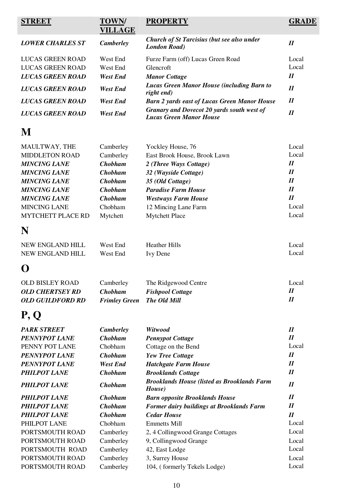| STREET                   | <b>TOWN/</b><br><b>VILLAGE</b> | <b>PROPERTY</b>                                                              | GRADE                      |
|--------------------------|--------------------------------|------------------------------------------------------------------------------|----------------------------|
|                          |                                | <b>Church of St Tarcisius (but see also under</b>                            |                            |
| <b>LOWER CHARLES ST</b>  | <b>Camberley</b>               | <b>London Road</b> )                                                         | $\boldsymbol{\mathit{II}}$ |
| <b>LUCAS GREEN ROAD</b>  | West End                       | Furze Farm (off) Lucas Green Road                                            | Local                      |
| <b>LUCAS GREEN ROAD</b>  | West End                       | Glencroft                                                                    | Local                      |
| <b>LUCAS GREEN ROAD</b>  | <b>West End</b>                | <b>Manor Cottage</b>                                                         | $I\!I$                     |
| <b>LUCAS GREEN ROAD</b>  | West End                       | <b>Lucas Green Manor House (including Barn to</b><br>right end)              | $\boldsymbol{\mathit{II}}$ |
| <b>LUCAS GREEN ROAD</b>  | <b>West End</b>                | <b>Barn 2 yards east of Lucas Green Manor House</b>                          | $\boldsymbol{\mathit{II}}$ |
| <b>LUCAS GREEN ROAD</b>  | <b>West End</b>                | Granary and Dovecot 20 yards south west of<br><b>Lucas Green Manor House</b> | $\boldsymbol{\mathit{II}}$ |
| M                        |                                |                                                                              |                            |
| MAULTWAY, THE            | Camberley                      | Yockley House, 76                                                            | Local                      |
| <b>MIDDLETON ROAD</b>    | Camberley                      | East Brook House, Brook Lawn                                                 | Local                      |
| <b>MINCING LANE</b>      | <b>Chobham</b>                 | 2 (Three Ways Cottage)                                                       | $\boldsymbol{\mathit{II}}$ |
| <b>MINCING LANE</b>      | <b>Chobham</b>                 | 32 (Wayside Cottage)                                                         | $I\!I$                     |
| <b>MINCING LANE</b>      | <b>Chobham</b>                 | 35 (Old Cottage)                                                             | $\boldsymbol{\mathit{II}}$ |
| <b>MINCING LANE</b>      | <b>Chobham</b>                 | <b>Paradise Farm House</b>                                                   | I                          |
| <b>MINCING LANE</b>      | <b>Chobham</b>                 | <b>Westways Farm House</b>                                                   | $\boldsymbol{\mathit{II}}$ |
| <b>MINCING LANE</b>      | Chobham                        | 12 Mincing Lane Farm                                                         | Local                      |
| <b>MYTCHETT PLACE RD</b> | Mytchett                       | <b>Mytchett Place</b>                                                        | Local                      |
| N                        |                                |                                                                              |                            |
| NEW ENGLAND HILL         | West End                       | <b>Heather Hills</b>                                                         | Local                      |
| NEW ENGLAND HILL         | West End                       | <b>Ivy Dene</b>                                                              | Local                      |
|                          |                                |                                                                              |                            |

| <b>OLD BISLEY ROAD</b> | Camberley                         | The Ridgewood Centre    | Local |
|------------------------|-----------------------------------|-------------------------|-------|
| <b>OLD CHERTSEY RD</b> | <b>Chobham</b>                    | <b>Fishpool Cottage</b> |       |
| OLD GUILDFORD RD       | <b>Frimley Green</b> The Old Mill |                         |       |

# **P, Q**

| <b>PARK STREET</b>   | <b>Camberley</b> | Witwood                                                      | $\boldsymbol{\mathit{II}}$ |
|----------------------|------------------|--------------------------------------------------------------|----------------------------|
| <b>PENNYPOT LANE</b> | <b>Chobham</b>   | <b>Pennypot Cottage</b>                                      | I                          |
| PENNY POT LANE       | Chobham          | Cottage on the Bend                                          | Local                      |
| <b>PENNYPOT LANE</b> | <b>Chobham</b>   | <b>Yew Tree Cottage</b>                                      | $\boldsymbol{\mathit{II}}$ |
| <b>PENNYPOT LANE</b> | West End         | <b>Hatchgate Farm House</b>                                  | $\boldsymbol{\mathit{II}}$ |
| <b>PHILPOT LANE</b>  | <b>Chobham</b>   | <b>Brooklands Cottage</b>                                    | $\boldsymbol{\mathit{II}}$ |
| <b>PHILPOT LANE</b>  | <b>Chobham</b>   | <b>Brooklands House (listed as Brooklands Farm</b><br>House) | $\boldsymbol{\mathit{II}}$ |
| <b>PHILPOT LANE</b>  | <b>Chobham</b>   | <b>Barn opposite Brooklands House</b>                        | $\boldsymbol{\mathit{II}}$ |
| <b>PHILPOT LANE</b>  | <b>Chobham</b>   | <b>Former dairy buildings at Brooklands Farm</b>             | $\boldsymbol{\mathit{II}}$ |
| <b>PHILPOT LANE</b>  | <b>Chobham</b>   | <b>Cedar House</b>                                           | I                          |
| PHILPOT LANE         | Chobham          | <b>Emmetts Mill</b>                                          | Local                      |
| PORTSMOUTH ROAD      | Camberley        | 2, 4 Collingwood Grange Cottages                             | Local                      |
| PORTSMOUTH ROAD      | Camberley        | 9, Collingwood Grange                                        | Local                      |
| PORTSMOUTH ROAD      | Camberley        | 42, East Lodge                                               | Local                      |
| PORTSMOUTH ROAD      | Camberley        | 3, Surrey House                                              | Local                      |
| PORTSMOUTH ROAD      | Camberley        | 104, (formerly Tekels Lodge)                                 | Local                      |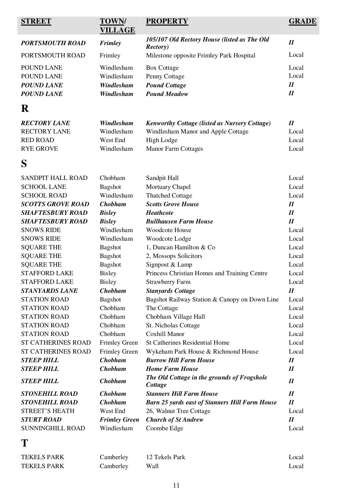| <b>STREET</b>             | <b>TOWN/</b><br><b>VILLAGE</b> | <b>PROPERTY</b>                                                  | <b>GRADE</b>               |
|---------------------------|--------------------------------|------------------------------------------------------------------|----------------------------|
| <b>PORTSMOUTH ROAD</b>    | <b>Frimley</b>                 | 105/107 Old Rectory House (listed as The Old<br><b>Rectory</b> ) | $\boldsymbol{\mathit{II}}$ |
| PORTSMOUTH ROAD           | Frimley                        | Milestone opposite Frimley Park Hospital                         | Local                      |
| POUND LANE                | Windlesham                     | <b>Box Cottage</b>                                               | Local                      |
| POUND LANE                | Windlesham                     | Penny Cottage                                                    | Local                      |
| <b>POUND LANE</b>         | Windlesham                     | <b>Pound Cottage</b>                                             | $I\!I$                     |
| <b>POUND LANE</b>         | Windlesham                     | <b>Pound Meadow</b>                                              | $I\!I$                     |
| R                         |                                |                                                                  |                            |
| <b>RECTORY LANE</b>       | Windlesham                     | <b>Kenworthy Cottage (listed as Nursery Cottage)</b>             | $I\!I$                     |
| <b>RECTORY LANE</b>       | Windlesham                     | Windlesham Manor and Apple Cottage                               | Local                      |
| <b>RED ROAD</b>           | West End                       | High Lodge                                                       | Local                      |
| <b>RYE GROVE</b>          | Windlesham                     | <b>Manor Farm Cottages</b>                                       | Local                      |
| S                         |                                |                                                                  |                            |
| <b>SANDPIT HALL ROAD</b>  | Chobham                        | Sandpit Hall                                                     | Local                      |
| <b>SCHOOL LANE</b>        | Bagshot                        | Mortuary Chapel                                                  | Local                      |
| <b>SCHOOL ROAD</b>        | Windlesham                     | <b>Thatched Cottage</b>                                          | Local                      |
| <b>SCOTTS GROVE ROAD</b>  | <b>Chobham</b>                 | <b>Scotts Grove House</b>                                        | $I\!I$                     |
| <b>SHAFTESBURY ROAD</b>   | <b>Bisley</b>                  | <b>Heathcote</b>                                                 | $I\!I$                     |
| <b>SHAFTESBURY ROAD</b>   | <b>Bisley</b>                  | <b>Bullhausen Farm House</b>                                     | $I\!I$                     |
| <b>SNOWS RIDE</b>         | Windlesham                     | Woodcote House                                                   | Local                      |
| <b>SNOWS RIDE</b>         | Windlesham                     | Woodcote Lodge                                                   | Local                      |
| <b>SQUARE THE</b>         | <b>Bagshot</b>                 | 1, Duncan Hamilton & Co                                          | Local                      |
| <b>SQUARE THE</b>         | Bagshot                        | 2, Mossops Solicitors                                            | Local                      |
| <b>SQUARE THE</b>         | <b>Bagshot</b>                 | Signpost & Lamp                                                  | Local                      |
| <b>STAFFORD LAKE</b>      | <b>Bisley</b>                  | Princess Christian Homes and Training Centre                     | Local                      |
| <b>STAFFORD LAKE</b>      | <b>Bisley</b>                  | <b>Strawberry Farm</b>                                           | Local                      |
| <b>STANYARDS LANE</b>     | <b>Chobham</b>                 | <b>Stanyards Cottage</b>                                         | $I\!I$                     |
| <b>STATION ROAD</b>       | Bagshot                        | Bagshot Railway Station & Canopy on Down Line                    | Local                      |
| <b>STATION ROAD</b>       | Chobham                        | The Cottage                                                      | Local                      |
| <b>STATION ROAD</b>       | Chobham                        | Chobham Village Hall                                             | Local                      |
| <b>STATION ROAD</b>       | Chobham                        | St. Nicholas Cottage                                             | Local                      |
| <b>STATION ROAD</b>       | Chobham                        | <b>Coxhill Manor</b>                                             | Local                      |
| <b>ST CATHERINES ROAD</b> | <b>Frimley Green</b>           | <b>St Catherines Residential Home</b>                            | Local                      |
| <b>ST CATHERINES ROAD</b> | <b>Frimley Green</b>           | Wykeham Park House & Richmond House                              | Local                      |
| <b>STEEP HILL</b>         | <b>Chobham</b>                 | <b>Burrow Hill Farm House</b>                                    | $\boldsymbol{\mathit{II}}$ |
| <b>STEEP HILL</b>         | <b>Chobham</b>                 | <b>Home Farm House</b>                                           | $I\!I$                     |
| <b>STEEP HILL</b>         | <b>Chobham</b>                 | The Old Cottage in the grounds of Frogshole<br>Cottage           | $I\!I$                     |
| <b>STONEHILL ROAD</b>     | <b>Chobham</b>                 | <b>Stanners Hill Farm House</b>                                  | $I\!I$                     |
| <b>STONEHILL ROAD</b>     | <b>Chobham</b>                 | <b>Barn 25 yards east of Stanners Hill Farm House</b>            | $I\!I$                     |
| <b>STREET'S HEATH</b>     | West End                       | 26, Walnut Tree Cottage                                          | Local                      |
| <b>STURT ROAD</b>         | <b>Frimley Green</b>           | <b>Church of St Andrew</b>                                       | $I\!I$                     |
| SUNNINGHILL ROAD          | Windlesham                     | Coombe Edge                                                      | Local                      |
| T                         |                                |                                                                  |                            |

| <b>TEKELS PARK</b> | Camberley | 12 Tekels Park | Local |
|--------------------|-----------|----------------|-------|
| TEKELS PARK        | Camberley | Wall           | Local |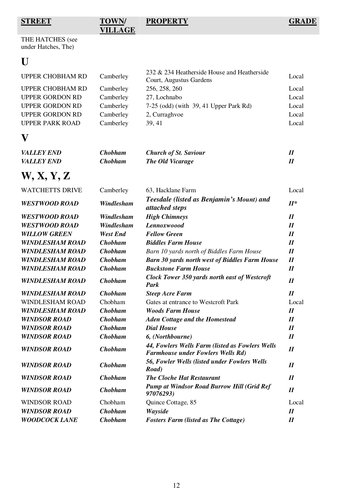**STREET TOWN/ VILLAGE**

**PROPERTY GRADE**

THE HATCHES (see under Hatches, The)

# **U**

| UPPER CHOBHAM RD        | Camberley | 232 & 234 Heatherside House and Heatherside<br>Court, Augustus Gardens | Local |
|-------------------------|-----------|------------------------------------------------------------------------|-------|
| <b>UPPER CHOBHAM RD</b> | Camberley | 256, 258, 260                                                          | Local |
| <b>UPPER GORDON RD</b>  | Camberley | 27, Lochnabo                                                           | Local |
| <b>UPPER GORDON RD</b>  | Camberley | $7-25$ (odd) (with 39, 41 Upper Park Rd)                               | Local |
| <b>UPPER GORDON RD</b>  | Camberley | 2, Curraghyoe                                                          | Local |
| <b>UPPER PARK ROAD</b>  | Camberley | 39, 41                                                                 | Local |

# **V**

| <i>VALLEY END</i>        | Chobham | <b>Church of St. Saviour</b> |  |
|--------------------------|---------|------------------------------|--|
| <i><b>VALLEY END</b></i> | Chobham | The Old Vicarage             |  |

# **W, X, Y, Z**

| <b>WATCHETTS DRIVE</b> | Camberley       | 63, Hacklane Farm                                                                           | Local                      |
|------------------------|-----------------|---------------------------------------------------------------------------------------------|----------------------------|
| <b>WESTWOOD ROAD</b>   | Windlesham      | Teesdale (listed as Benjamin's Mount) and<br>attached steps                                 | $II^*$                     |
| <b>WESTWOOD ROAD</b>   | Windlesham      | <b>High Chimneys</b>                                                                        | $\boldsymbol{\mathit{II}}$ |
| <b>WESTWOOD ROAD</b>   | Windlesham      | <b>Lennoxwoood</b>                                                                          | $\boldsymbol{\mathit{II}}$ |
| <b>WILLOW GREEN</b>    | <b>West End</b> | <b>Fellow Green</b>                                                                         | $\boldsymbol{\mathit{II}}$ |
| <b>WINDLESHAM ROAD</b> | <b>Chobham</b>  | <b>Biddles Farm House</b>                                                                   | I                          |
| <b>WINDLESHAM ROAD</b> | <b>Chobham</b>  | Barn 10 yards north of Biddles Farm House                                                   | I                          |
| <b>WINDLESHAM ROAD</b> | <b>Chobham</b>  | <b>Barn 30 yards north west of Biddles Farm House</b>                                       | $\boldsymbol{\mathit{II}}$ |
| <b>WINDLESHAM ROAD</b> | <b>Chobham</b>  | <b>Buckstone Farm House</b>                                                                 | $\boldsymbol{\mathit{II}}$ |
| <b>WINDLESHAM ROAD</b> | <b>Chobham</b>  | <b>Clock Tower 350 yards north east of Westcroft</b><br>Park                                | $\boldsymbol{H}$           |
| <b>WINDLESHAM ROAD</b> | <b>Chobham</b>  | <b>Steep Acre Farm</b>                                                                      | $\boldsymbol{\mathit{II}}$ |
| <b>WINDLESHAM ROAD</b> | Chobham         | Gates at entrance to Westcroft Park                                                         | Local                      |
| <b>WINDLESHAM ROAD</b> | <b>Chobham</b>  | <b>Woods Farm House</b>                                                                     | $\boldsymbol{H}$           |
| <b>WINDSOR ROAD</b>    | <b>Chobham</b>  | <b>Aden Cottage and the Homestead</b>                                                       | $\boldsymbol{\mathit{II}}$ |
| <b>WINDSOR ROAD</b>    | <b>Chobham</b>  | <b>Dial House</b>                                                                           | I                          |
| <b>WINDSOR ROAD</b>    | <b>Chobham</b>  | 6, (Northbourne)                                                                            | I                          |
| <b>WINDSOR ROAD</b>    | <b>Chobham</b>  | 44, Fowlers Wells Farm (listed as Fowlers Wells<br><b>Farmhouse under Fowlers Wells Rd)</b> | $\boldsymbol{\mathit{II}}$ |
| <b>WINDSOR ROAD</b>    | <b>Chobham</b>  | 56, Fowler Wells (listed under Fowlers Wells<br>Road)                                       | $\boldsymbol{\mathit{II}}$ |
| <b>WINDSOR ROAD</b>    | <b>Chobham</b>  | <b>The Cloche Hat Restaurant</b>                                                            | I                          |
| <b>WINDSOR ROAD</b>    | <b>Chobham</b>  | <b>Pump at Windsor Road Burrow Hill (Grid Ref</b><br>97076293)                              | I                          |
| <b>WINDSOR ROAD</b>    | Chobham         | Quince Cottage, 85                                                                          | Local                      |
| <b>WINDSOR ROAD</b>    | <b>Chobham</b>  | Wayside                                                                                     | I                          |
| <b>WOODCOCK LANE</b>   | <b>Chobham</b>  | <b>Fosters Farm (listed as The Cottage)</b>                                                 | $\boldsymbol{\mathit{II}}$ |
|                        |                 |                                                                                             |                            |